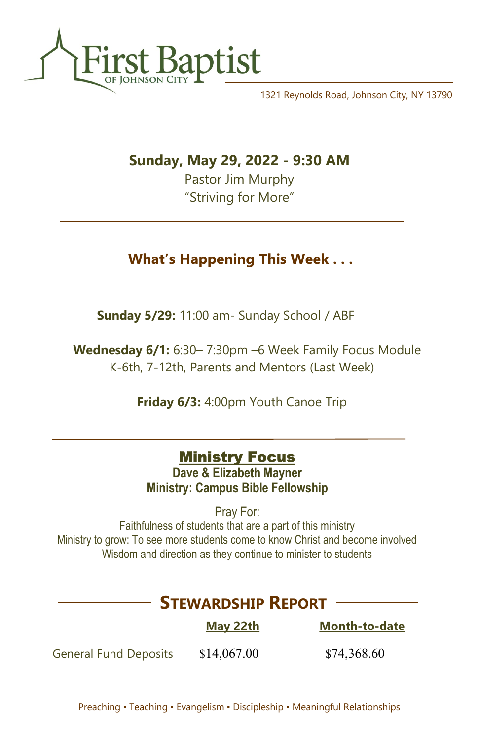

1321 Reynolds Road, Johnson City, NY 13790

Sunday, May 29, 2022 - 9:30 AM

Pastor Jim Murphy "Striving for More"

## What's Happening This Week . . .

Sunday 5/29: 11:00 am- Sunday School / ABF

 Wednesday 6/1: 6:30– 7:30pm –6 Week Family Focus Module K-6th, 7-12th, Parents and Mentors (Last Week)

Friday 6/3: 4:00pm Youth Canoe Trip

## **Ministry Focus**

Dave & Elizabeth Mayner Ministry: Campus Bible Fellowship

Pray For:

Faithfulness of students that are a part of this ministry Ministry to grow: To see more students come to know Christ and become involved Wisdom and direction as they continue to minister to students

# May 22th Month-to-date General Fund Deposits \$14,067.00 \$74,368.60 STEWARDSHIP REPORT

Preaching • Teaching • Evangelism • Discipleship • Meaningful Relationships